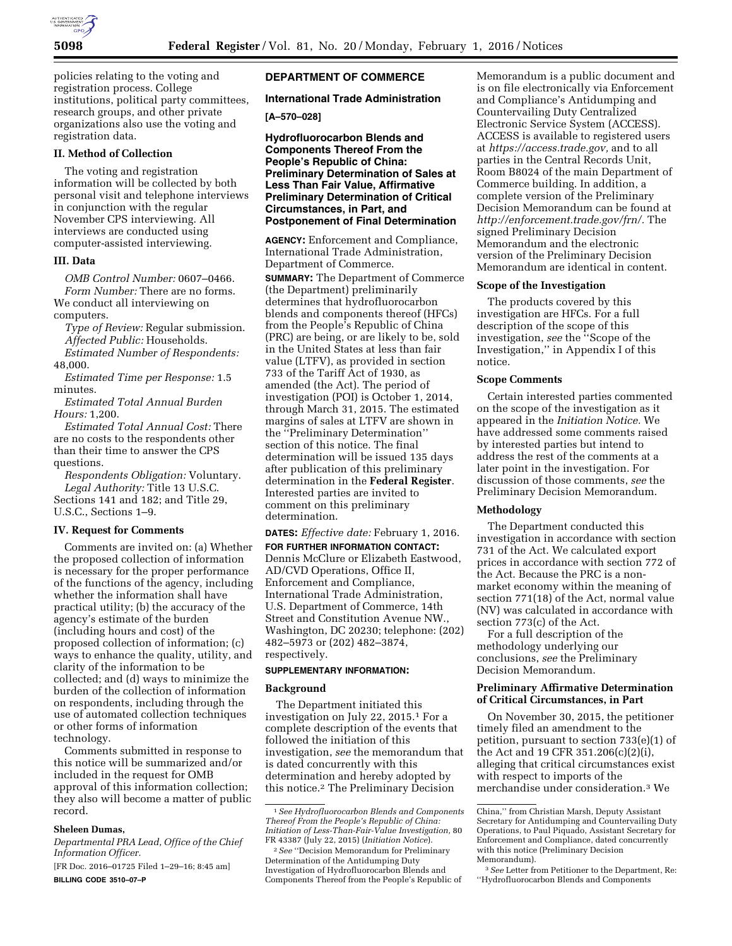

policies relating to the voting and registration process. College institutions, political party committees, research groups, and other private organizations also use the voting and registration data.

### **II. Method of Collection**

The voting and registration information will be collected by both personal visit and telephone interviews in conjunction with the regular November CPS interviewing. All interviews are conducted using computer-assisted interviewing.

# **III. Data**

*OMB Control Number:* 0607–0466. *Form Number:* There are no forms. We conduct all interviewing on computers.

*Type of Review:* Regular submission. *Affected Public:* Households. *Estimated Number of Respondents:*  48,000.

*Estimated Time per Response:* 1.5 minutes.

*Estimated Total Annual Burden Hours:* 1,200.

*Estimated Total Annual Cost:* There are no costs to the respondents other than their time to answer the CPS questions.

*Respondents Obligation:* Voluntary. *Legal Authority:* Title 13 U.S.C. Sections 141 and 182; and Title 29, U.S.C., Sections 1–9.

## **IV. Request for Comments**

Comments are invited on: (a) Whether the proposed collection of information is necessary for the proper performance of the functions of the agency, including whether the information shall have practical utility; (b) the accuracy of the agency's estimate of the burden (including hours and cost) of the proposed collection of information; (c) ways to enhance the quality, utility, and clarity of the information to be collected; and (d) ways to minimize the burden of the collection of information on respondents, including through the use of automated collection techniques or other forms of information technology.

Comments submitted in response to this notice will be summarized and/or included in the request for OMB approval of this information collection; they also will become a matter of public record.

## **Sheleen Dumas,**

*Departmental PRA Lead, Office of the Chief Information Officer.* 

[FR Doc. 2016–01725 Filed 1–29–16; 8:45 am] **BILLING CODE 3510–07–P** 

# **DEPARTMENT OF COMMERCE**

## **International Trade Administration**

**[A–570–028]** 

**Hydrofluorocarbon Blends and Components Thereof From the People's Republic of China: Preliminary Determination of Sales at Less Than Fair Value, Affirmative Preliminary Determination of Critical Circumstances, in Part, and Postponement of Final Determination** 

**AGENCY:** Enforcement and Compliance, International Trade Administration, Department of Commerce. **SUMMARY:** The Department of Commerce (the Department) preliminarily determines that hydrofluorocarbon blends and components thereof (HFCs) from the People's Republic of China (PRC) are being, or are likely to be, sold in the United States at less than fair value (LTFV), as provided in section 733 of the Tariff Act of 1930, as amended (the Act). The period of investigation (POI) is October 1, 2014,

through March 31, 2015. The estimated margins of sales at LTFV are shown in the ''Preliminary Determination'' section of this notice. The final determination will be issued 135 days after publication of this preliminary determination in the **Federal Register**. Interested parties are invited to comment on this preliminary determination.

**DATES:** *Effective date:* February 1, 2016. **FOR FURTHER INFORMATION CONTACT:**  Dennis McClure or Elizabeth Eastwood, AD/CVD Operations, Office II, Enforcement and Compliance, International Trade Administration, U.S. Department of Commerce, 14th Street and Constitution Avenue NW., Washington, DC 20230; telephone: (202) 482–5973 or (202) 482–3874, respectively.

#### **SUPPLEMENTARY INFORMATION:**

#### **Background**

The Department initiated this investigation on July 22, 2015.1 For a complete description of the events that followed the initiation of this investigation, *see* the memorandum that is dated concurrently with this determination and hereby adopted by this notice.2 The Preliminary Decision

Memorandum is a public document and is on file electronically via Enforcement and Compliance's Antidumping and Countervailing Duty Centralized Electronic Service System (ACCESS). ACCESS is available to registered users at *[https://access.trade.gov,](https://access.trade.gov)* and to all parties in the Central Records Unit, Room B8024 of the main Department of Commerce building. In addition, a complete version of the Preliminary Decision Memorandum can be found at *[http://enforcement.trade.gov/frn/.](http://enforcement.trade.gov/frn/)* The signed Preliminary Decision Memorandum and the electronic version of the Preliminary Decision Memorandum are identical in content.

#### **Scope of the Investigation**

The products covered by this investigation are HFCs. For a full description of the scope of this investigation, *see* the ''Scope of the Investigation,'' in Appendix I of this notice.

#### **Scope Comments**

Certain interested parties commented on the scope of the investigation as it appeared in the *Initiation Notice.* We have addressed some comments raised by interested parties but intend to address the rest of the comments at a later point in the investigation. For discussion of those comments, *see* the Preliminary Decision Memorandum.

## **Methodology**

The Department conducted this investigation in accordance with section 731 of the Act. We calculated export prices in accordance with section 772 of the Act. Because the PRC is a nonmarket economy within the meaning of section 771(18) of the Act, normal value (NV) was calculated in accordance with section 773(c) of the Act.

For a full description of the methodology underlying our conclusions, *see* the Preliminary Decision Memorandum.

## **Preliminary Affirmative Determination of Critical Circumstances, in Part**

On November 30, 2015, the petitioner timely filed an amendment to the petition, pursuant to section 733(e)(1) of the Act and 19 CFR 351.206(c)(2)(i), alleging that critical circumstances exist with respect to imports of the merchandise under consideration.3 We

<sup>1</sup>*See Hydrofluorocarbon Blends and Components Thereof From the People's Republic of China: Initiation of Less-Than-Fair-Value Investigation,* 80 FR 43387 (July 22, 2015) (*Initiation Notice*).

<sup>2</sup>*See* ''Decision Memorandum for Preliminary Determination of the Antidumping Duty Investigation of Hydrofluorocarbon Blends and Components Thereof from the People's Republic of

China,'' from Christian Marsh, Deputy Assistant Secretary for Antidumping and Countervailing Duty Operations, to Paul Piquado, Assistant Secretary for Enforcement and Compliance, dated concurrently with this notice (Preliminary Decision Memorandum).

<sup>3</sup>*See* Letter from Petitioner to the Department, Re: ''Hydrofluorocarbon Blends and Components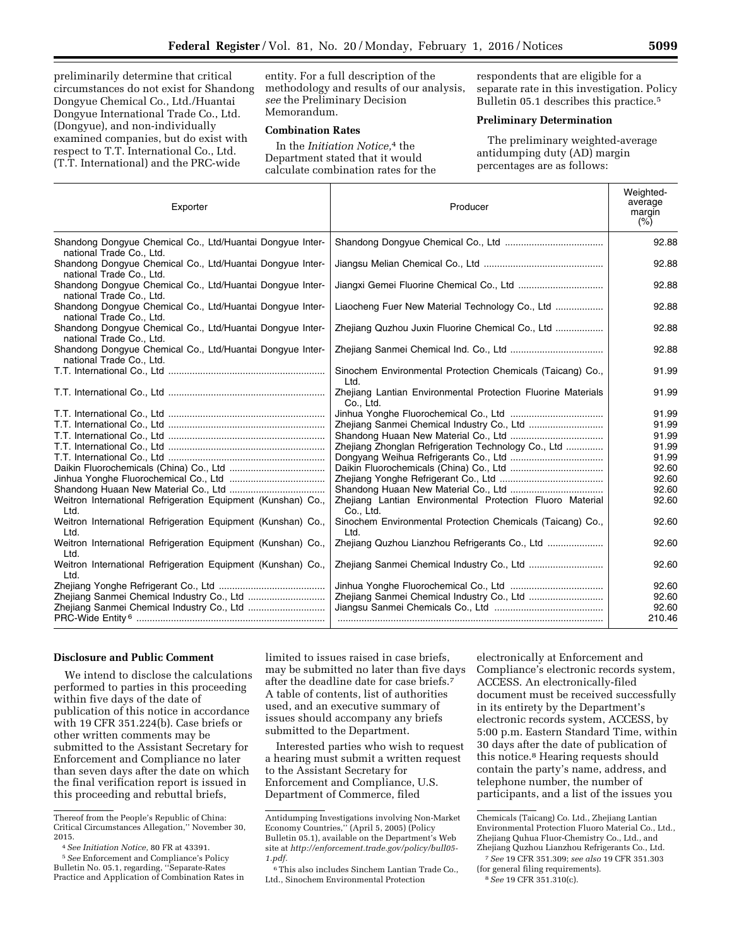preliminarily determine that critical circumstances do not exist for Shandong Dongyue Chemical Co., Ltd./Huantai Dongyue International Trade Co., Ltd. (Dongyue), and non-individually examined companies, but do exist with respect to T.T. International Co., Ltd. (T.T. International) and the PRC-wide

entity. For a full description of the methodology and results of our analysis, *see* the Preliminary Decision Memorandum.

## **Combination Rates**

In the *Initiation Notice,*4 the Department stated that it would calculate combination rates for the

respondents that are eligible for a separate rate in this investigation. Policy Bulletin 05.1 describes this practice.<sup>5</sup>

## **Preliminary Determination**

The preliminary weighted-average antidumping duty (AD) margin percentages are as follows:

| Exporter                                                                              | Producer                                                                  | Weighted-<br>average<br>margin<br>(% ) |
|---------------------------------------------------------------------------------------|---------------------------------------------------------------------------|----------------------------------------|
| Shandong Dongyue Chemical Co., Ltd/Huantai Dongyue Inter-<br>national Trade Co., Ltd. |                                                                           | 92.88                                  |
| Shandong Dongyue Chemical Co., Ltd/Huantai Dongyue Inter-<br>national Trade Co., Ltd. |                                                                           | 92.88                                  |
| Shandong Dongyue Chemical Co., Ltd/Huantai Dongyue Inter-<br>national Trade Co., Ltd. |                                                                           | 92.88                                  |
| Shandong Dongyue Chemical Co., Ltd/Huantai Dongyue Inter-<br>national Trade Co., Ltd. | Liaocheng Fuer New Material Technology Co., Ltd                           | 92.88                                  |
| Shandong Dongyue Chemical Co., Ltd/Huantai Dongyue Inter-<br>national Trade Co., Ltd. | Zhejiang Quzhou Juxin Fluorine Chemical Co., Ltd                          | 92.88                                  |
| Shandong Dongyue Chemical Co., Ltd/Huantai Dongyue Inter-<br>national Trade Co., Ltd. |                                                                           | 92.88                                  |
|                                                                                       | Sinochem Environmental Protection Chemicals (Taicang) Co.,<br>Ltd.        | 91.99                                  |
|                                                                                       | Zhejiang Lantian Environmental Protection Fluorine Materials<br>Co., Ltd. | 91.99                                  |
|                                                                                       |                                                                           | 91.99                                  |
|                                                                                       | Zhejiang Sanmei Chemical Industry Co., Ltd                                | 91.99                                  |
|                                                                                       |                                                                           | 91.99                                  |
|                                                                                       | Zhejiang Zhonglan Refrigeration Technology Co., Ltd                       | 91.99                                  |
|                                                                                       |                                                                           | 91.99                                  |
|                                                                                       |                                                                           | 92.60                                  |
|                                                                                       |                                                                           | 92.60                                  |
|                                                                                       |                                                                           | 92.60                                  |
| Weitron International Refrigeration Equipment (Kunshan) Co.,<br>Ltd.                  | Zhejiang Lantian Environmental Protection Fluoro Material<br>Co., Ltd.    | 92.60                                  |
| Weitron International Refrigeration Equipment (Kunshan) Co.,<br>Ltd.                  | Sinochem Environmental Protection Chemicals (Taicang) Co.,<br>Ltd.        | 92.60                                  |
| Weitron International Refrigeration Equipment (Kunshan) Co.,<br>Ltd.                  | Zhejiang Quzhou Lianzhou Refrigerants Co., Ltd                            | 92.60                                  |
| Weitron International Refrigeration Equipment (Kunshan) Co.,<br>Ltd.                  |                                                                           | 92.60                                  |
|                                                                                       |                                                                           | 92.60                                  |
| Zhejiang Sanmei Chemical Industry Co., Ltd                                            | Zhejiang Sanmei Chemical Industry Co., Ltd                                | 92.60                                  |
| Zhejiang Sanmei Chemical Industry Co., Ltd                                            |                                                                           | 92.60<br>210.46                        |

## **Disclosure and Public Comment**

We intend to disclose the calculations performed to parties in this proceeding within five days of the date of publication of this notice in accordance with 19 CFR 351.224(b). Case briefs or other written comments may be submitted to the Assistant Secretary for Enforcement and Compliance no later than seven days after the date on which the final verification report is issued in this proceeding and rebuttal briefs,

limited to issues raised in case briefs, may be submitted no later than five days after the deadline date for case briefs.7 A table of contents, list of authorities used, and an executive summary of issues should accompany any briefs submitted to the Department.

Interested parties who wish to request a hearing must submit a written request to the Assistant Secretary for Enforcement and Compliance, U.S. Department of Commerce, filed

electronically at Enforcement and Compliance's electronic records system, ACCESS. An electronically-filed document must be received successfully in its entirety by the Department's electronic records system, ACCESS, by 5:00 p.m. Eastern Standard Time, within 30 days after the date of publication of this notice.8 Hearing requests should contain the party's name, address, and telephone number, the number of participants, and a list of the issues you

Thereof from the People's Republic of China: Critical Circumstances Allegation,'' November 30, 2015.

<sup>4</sup>*See Initiation Notice,* 80 FR at 43391. 5*See* Enforcement and Compliance's Policy

Bulletin No. 05.1, regarding, ''Separate-Rates Practice and Application of Combination Rates in

Antidumping Investigations involving Non-Market Economy Countries,'' (April 5, 2005) (Policy Bulletin 05.1), available on the Department's Web site at *[http://enforcement.trade.gov/policy/bull05-](http://enforcement.trade.gov/policy/bull05-1.pdf) [1.pdf.](http://enforcement.trade.gov/policy/bull05-1.pdf)* 

<sup>6</sup>This also includes Sinchem Lantian Trade Co., Ltd., Sinochem Environmental Protection

Chemicals (Taicang) Co. Ltd., Zhejiang Lantian Environmental Protection Fluoro Material Co., Ltd., Zhejiang Quhua Fluor-Chemistry Co., Ltd., and Zhejiang Quzhou Lianzhou Refrigerants Co., Ltd. 7*See* 19 CFR 351.309; *see also* 19 CFR 351.303

<sup>(</sup>for general filing requirements).

<sup>8</sup>*See* 19 CFR 351.310(c).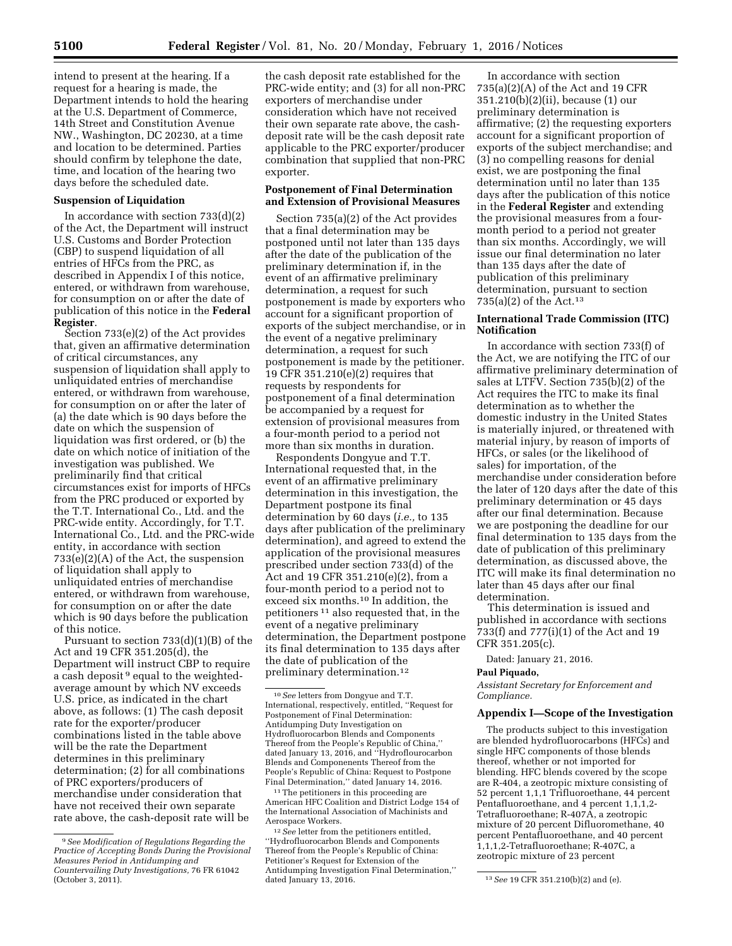intend to present at the hearing. If a request for a hearing is made, the Department intends to hold the hearing at the U.S. Department of Commerce, 14th Street and Constitution Avenue NW., Washington, DC 20230, at a time and location to be determined. Parties should confirm by telephone the date, time, and location of the hearing two days before the scheduled date.

### **Suspension of Liquidation**

In accordance with section  $733(d)(2)$ of the Act, the Department will instruct U.S. Customs and Border Protection (CBP) to suspend liquidation of all entries of HFCs from the PRC, as described in Appendix I of this notice, entered, or withdrawn from warehouse, for consumption on or after the date of publication of this notice in the **Federal Register**.

Section 733(e)(2) of the Act provides that, given an affirmative determination of critical circumstances, any suspension of liquidation shall apply to unliquidated entries of merchandise entered, or withdrawn from warehouse, for consumption on or after the later of (a) the date which is 90 days before the date on which the suspension of liquidation was first ordered, or (b) the date on which notice of initiation of the investigation was published. We preliminarily find that critical circumstances exist for imports of HFCs from the PRC produced or exported by the T.T. International Co., Ltd. and the PRC-wide entity. Accordingly, for T.T. International Co., Ltd. and the PRC-wide entity, in accordance with section 733(e)(2)(A) of the Act, the suspension of liquidation shall apply to unliquidated entries of merchandise entered, or withdrawn from warehouse, for consumption on or after the date which is 90 days before the publication of this notice.

Pursuant to section 733(d)(1)(B) of the Act and 19 CFR 351.205(d), the Department will instruct CBP to require a cash deposit<sup>9</sup> equal to the weightedaverage amount by which NV exceeds U.S. price, as indicated in the chart above, as follows: (1) The cash deposit rate for the exporter/producer combinations listed in the table above will be the rate the Department determines in this preliminary determination; (2) for all combinations of PRC exporters/producers of merchandise under consideration that have not received their own separate rate above, the cash-deposit rate will be

the cash deposit rate established for the PRC-wide entity; and (3) for all non-PRC exporters of merchandise under consideration which have not received their own separate rate above, the cashdeposit rate will be the cash deposit rate applicable to the PRC exporter/producer combination that supplied that non-PRC exporter.

# **Postponement of Final Determination and Extension of Provisional Measures**

Section 735(a)(2) of the Act provides that a final determination may be postponed until not later than 135 days after the date of the publication of the preliminary determination if, in the event of an affirmative preliminary determination, a request for such postponement is made by exporters who account for a significant proportion of exports of the subject merchandise, or in the event of a negative preliminary determination, a request for such postponement is made by the petitioner. 19 CFR 351.210(e)(2) requires that requests by respondents for postponement of a final determination be accompanied by a request for extension of provisional measures from a four-month period to a period not more than six months in duration.

Respondents Dongyue and T.T. International requested that, in the event of an affirmative preliminary determination in this investigation, the Department postpone its final determination by 60 days (*i.e.,* to 135 days after publication of the preliminary determination), and agreed to extend the application of the provisional measures prescribed under section 733(d) of the Act and 19 CFR 351.210(e)(2), from a four-month period to a period not to exceed six months.10 In addition, the petitioners 11 also requested that, in the event of a negative preliminary determination, the Department postpone its final determination to 135 days after the date of publication of the preliminary determination.12

 $^{\rm 11}\!$  The petitioners in this proceeding are American HFC Coalition and District Lodge 154 of the International Association of Machinists and Aerospace Workers.

In accordance with section 735(a)(2)(A) of the Act and 19 CFR 351.210(b)(2)(ii), because (1) our preliminary determination is affirmative; (2) the requesting exporters account for a significant proportion of exports of the subject merchandise; and (3) no compelling reasons for denial exist, we are postponing the final determination until no later than 135 days after the publication of this notice in the **Federal Register** and extending the provisional measures from a fourmonth period to a period not greater than six months. Accordingly, we will issue our final determination no later than 135 days after the date of publication of this preliminary determination, pursuant to section 735(a)(2) of the Act.13

#### **International Trade Commission (ITC) Notification**

In accordance with section 733(f) of the Act, we are notifying the ITC of our affirmative preliminary determination of sales at LTFV. Section 735(b)(2) of the Act requires the ITC to make its final determination as to whether the domestic industry in the United States is materially injured, or threatened with material injury, by reason of imports of HFCs, or sales (or the likelihood of sales) for importation, of the merchandise under consideration before the later of 120 days after the date of this preliminary determination or 45 days after our final determination. Because we are postponing the deadline for our final determination to 135 days from the date of publication of this preliminary determination, as discussed above, the ITC will make its final determination no later than 45 days after our final determination.

This determination is issued and published in accordance with sections 733(f) and 777(i)(1) of the Act and 19 CFR 351.205(c).

Dated: January 21, 2016.

#### **Paul Piquado,**

*Assistant Secretary for Enforcement and Compliance.* 

#### **Appendix I—Scope of the Investigation**

The products subject to this investigation are blended hydrofluorocarbons (HFCs) and single HFC components of those blends thereof, whether or not imported for blending. HFC blends covered by the scope are R-404, a zeotropic mixture consisting of 52 percent 1,1,1 Trifluoroethane, 44 percent Pentafluoroethane, and 4 percent 1,1,1,2-Tetrafluoroethane; R-407A, a zeotropic mixture of 20 percent Difluoromethane, 40 percent Pentafluoroethane, and 40 percent 1,1,1,2-Tetrafluoroethane; R-407C, a zeotropic mixture of 23 percent

<sup>9</sup>*See Modification of Regulations Regarding the Practice of Accepting Bonds During the Provisional Measures Period in Antidumping and Countervailing Duty Investigations,* 76 FR 61042 (October 3, 2011).

<sup>10</sup>*See* letters from Dongyue and T.T. International, respectively, entitled, ''Request for Postponement of Final Determination: Antidumping Duty Investigation on Hydrofluorocarbon Blends and Components Thereof from the People's Republic of China,'' dated January 13, 2016, and ''Hydroflourocarbon Blends and Componenents Thereof from the People's Republic of China: Request to Postpone Final Determination,'' dated January 14, 2016.

<sup>12</sup>*See* letter from the petitioners entitled, ''Hydrofluorocarbon Blends and Components Thereof from the People's Republic of China: Petitioner's Request for Extension of the Antidumping Investigation Final Determination,''

<sup>&</sup>lt;sup>13</sup> See 19 CFR 351.210(b)(2) and (e).